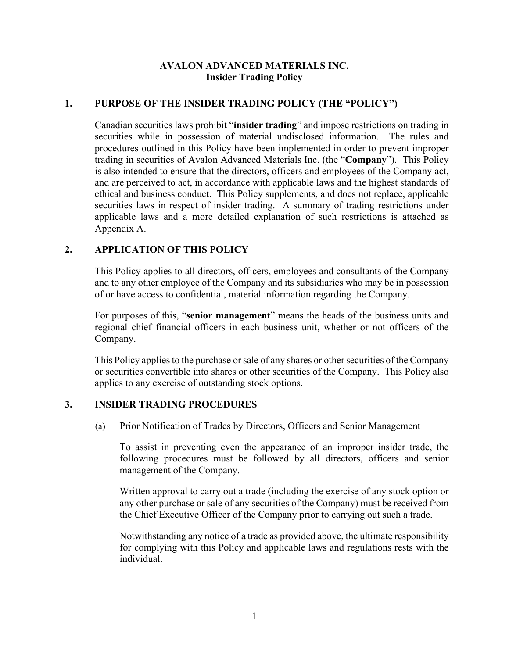### **AVALON ADVANCED MATERIALS INC. Insider Trading Policy**

#### **1. PURPOSE OF THE INSIDER TRADING POLICY (THE "POLICY")**

Canadian securities laws prohibit "**insider trading**" and impose restrictions on trading in securities while in possession of material undisclosed information. The rules and procedures outlined in this Policy have been implemented in order to prevent improper trading in securities of Avalon Advanced Materials Inc. (the "**Company**"). This Policy is also intended to ensure that the directors, officers and employees of the Company act, and are perceived to act, in accordance with applicable laws and the highest standards of ethical and business conduct. This Policy supplements, and does not replace, applicable securities laws in respect of insider trading. A summary of trading restrictions under applicable laws and a more detailed explanation of such restrictions is attached as Appendix A.

### **2. APPLICATION OF THIS POLICY**

This Policy applies to all directors, officers, employees and consultants of the Company and to any other employee of the Company and its subsidiaries who may be in possession of or have access to confidential, material information regarding the Company.

For purposes of this, "**senior management**" means the heads of the business units and regional chief financial officers in each business unit, whether or not officers of the Company.

This Policy applies to the purchase or sale of any shares or other securities of the Company or securities convertible into shares or other securities of the Company. This Policy also applies to any exercise of outstanding stock options.

### **3. INSIDER TRADING PROCEDURES**

(a) Prior Notification of Trades by Directors, Officers and Senior Management

To assist in preventing even the appearance of an improper insider trade, the following procedures must be followed by all directors, officers and senior management of the Company.

Written approval to carry out a trade (including the exercise of any stock option or any other purchase or sale of any securities of the Company) must be received from the Chief Executive Officer of the Company prior to carrying out such a trade.

Notwithstanding any notice of a trade as provided above, the ultimate responsibility for complying with this Policy and applicable laws and regulations rests with the individual.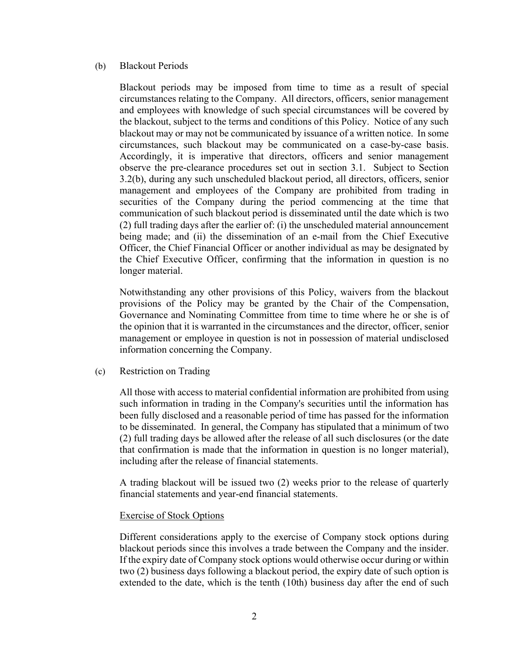#### (b) Blackout Periods

Blackout periods may be imposed from time to time as a result of special circumstances relating to the Company. All directors, officers, senior management and employees with knowledge of such special circumstances will be covered by the blackout, subject to the terms and conditions of this Policy. Notice of any such blackout may or may not be communicated by issuance of a written notice. In some circumstances, such blackout may be communicated on a case-by-case basis. Accordingly, it is imperative that directors, officers and senior management observe the pre-clearance procedures set out in section 3.1. Subject to Section 3.2(b), during any such unscheduled blackout period, all directors, officers, senior management and employees of the Company are prohibited from trading in securities of the Company during the period commencing at the time that communication of such blackout period is disseminated until the date which is two (2) full trading days after the earlier of: (i) the unscheduled material announcement being made; and (ii) the dissemination of an e-mail from the Chief Executive Officer, the Chief Financial Officer or another individual as may be designated by the Chief Executive Officer, confirming that the information in question is no longer material.

Notwithstanding any other provisions of this Policy, waivers from the blackout provisions of the Policy may be granted by the Chair of the Compensation, Governance and Nominating Committee from time to time where he or she is of the opinion that it is warranted in the circumstances and the director, officer, senior management or employee in question is not in possession of material undisclosed information concerning the Company.

(c) Restriction on Trading

All those with access to material confidential information are prohibited from using such information in trading in the Company's securities until the information has been fully disclosed and a reasonable period of time has passed for the information to be disseminated. In general, the Company has stipulated that a minimum of two (2) full trading days be allowed after the release of all such disclosures (or the date that confirmation is made that the information in question is no longer material), including after the release of financial statements.

A trading blackout will be issued two (2) weeks prior to the release of quarterly financial statements and year-end financial statements.

#### Exercise of Stock Options

Different considerations apply to the exercise of Company stock options during blackout periods since this involves a trade between the Company and the insider. If the expiry date of Company stock options would otherwise occur during or within two (2) business days following a blackout period, the expiry date of such option is extended to the date, which is the tenth (10th) business day after the end of such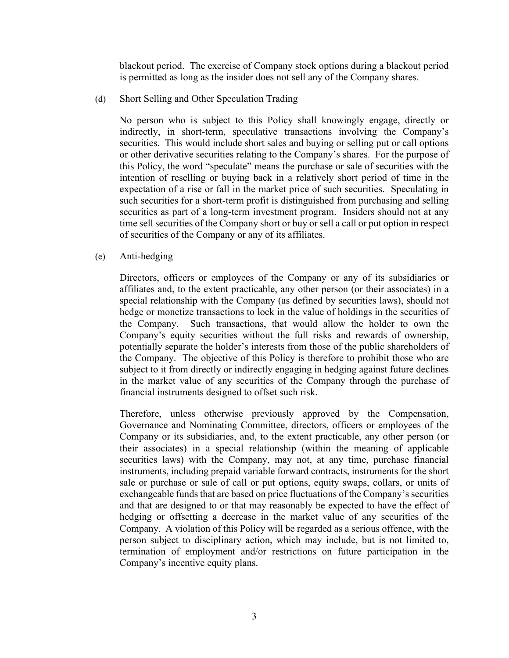blackout period. The exercise of Company stock options during a blackout period is permitted as long as the insider does not sell any of the Company shares.

(d) Short Selling and Other Speculation Trading

No person who is subject to this Policy shall knowingly engage, directly or indirectly, in short-term, speculative transactions involving the Company's securities. This would include short sales and buying or selling put or call options or other derivative securities relating to the Company's shares. For the purpose of this Policy, the word "speculate" means the purchase or sale of securities with the intention of reselling or buying back in a relatively short period of time in the expectation of a rise or fall in the market price of such securities. Speculating in such securities for a short-term profit is distinguished from purchasing and selling securities as part of a long-term investment program. Insiders should not at any time sell securities of the Company short or buy or sell a call or put option in respect of securities of the Company or any of its affiliates.

(e) Anti-hedging

Directors, officers or employees of the Company or any of its subsidiaries or affiliates and, to the extent practicable, any other person (or their associates) in a special relationship with the Company (as defined by securities laws), should not hedge or monetize transactions to lock in the value of holdings in the securities of the Company. Such transactions, that would allow the holder to own the Company's equity securities without the full risks and rewards of ownership, potentially separate the holder's interests from those of the public shareholders of the Company. The objective of this Policy is therefore to prohibit those who are subject to it from directly or indirectly engaging in hedging against future declines in the market value of any securities of the Company through the purchase of financial instruments designed to offset such risk.

Therefore, unless otherwise previously approved by the Compensation, Governance and Nominating Committee, directors, officers or employees of the Company or its subsidiaries, and, to the extent practicable, any other person (or their associates) in a special relationship (within the meaning of applicable securities laws) with the Company, may not, at any time, purchase financial instruments, including prepaid variable forward contracts, instruments for the short sale or purchase or sale of call or put options, equity swaps, collars, or units of exchangeable funds that are based on price fluctuations of the Company's securities and that are designed to or that may reasonably be expected to have the effect of hedging or offsetting a decrease in the market value of any securities of the Company. A violation of this Policy will be regarded as a serious offence, with the person subject to disciplinary action, which may include, but is not limited to, termination of employment and/or restrictions on future participation in the Company's incentive equity plans.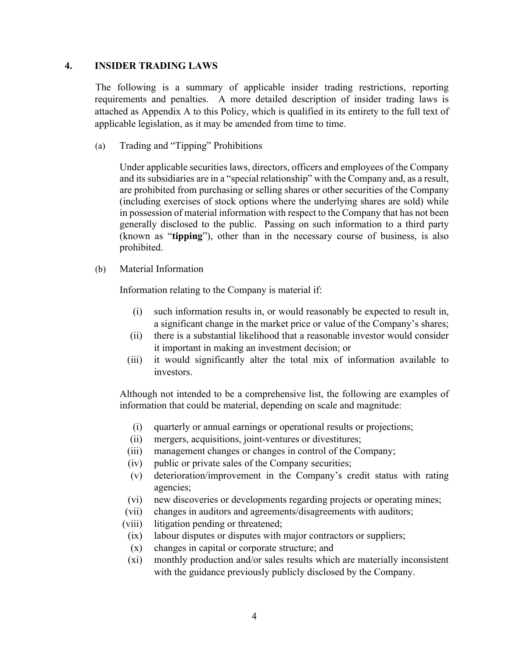#### **4. INSIDER TRADING LAWS**

The following is a summary of applicable insider trading restrictions, reporting requirements and penalties. A more detailed description of insider trading laws is attached as Appendix A to this Policy, which is qualified in its entirety to the full text of applicable legislation, as it may be amended from time to time.

(a) Trading and "Tipping" Prohibitions

Under applicable securities laws, directors, officers and employees of the Company and its subsidiaries are in a "special relationship" with the Company and, as a result, are prohibited from purchasing or selling shares or other securities of the Company (including exercises of stock options where the underlying shares are sold) while in possession of material information with respect to the Company that has not been generally disclosed to the public. Passing on such information to a third party (known as "**tipping**"), other than in the necessary course of business, is also prohibited.

(b) Material Information

Information relating to the Company is material if:

- (i) such information results in, or would reasonably be expected to result in, a significant change in the market price or value of the Company's shares;
- (ii) there is a substantial likelihood that a reasonable investor would consider it important in making an investment decision; or
- (iii) it would significantly alter the total mix of information available to investors.

Although not intended to be a comprehensive list, the following are examples of information that could be material, depending on scale and magnitude:

- (i) quarterly or annual earnings or operational results or projections;
- (ii) mergers, acquisitions, joint-ventures or divestitures;
- (iii) management changes or changes in control of the Company;
- (iv) public or private sales of the Company securities;
- (v) deterioration/improvement in the Company's credit status with rating agencies;
- (vi) new discoveries or developments regarding projects or operating mines;
- (vii) changes in auditors and agreements/disagreements with auditors;
- (viii) litigation pending or threatened;
- (ix) labour disputes or disputes with major contractors or suppliers;
- (x) changes in capital or corporate structure; and
- (xi) monthly production and/or sales results which are materially inconsistent with the guidance previously publicly disclosed by the Company.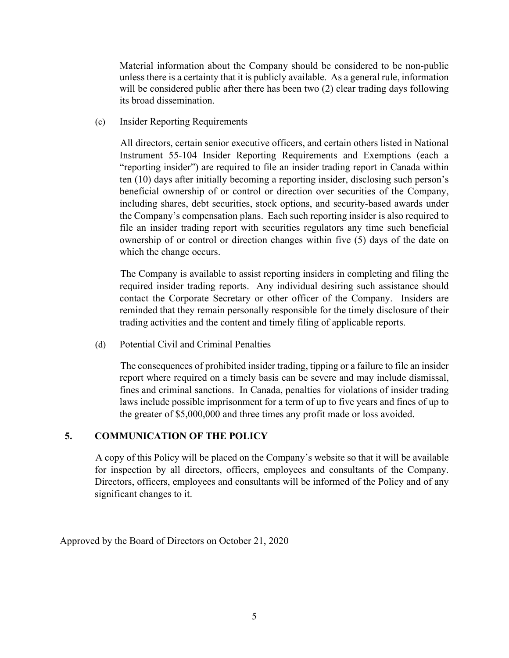Material information about the Company should be considered to be non-public unless there is a certainty that it is publicly available. As a general rule, information will be considered public after there has been two (2) clear trading days following its broad dissemination.

(c) Insider Reporting Requirements

All directors, certain senior executive officers, and certain others listed in National Instrument 55-104 Insider Reporting Requirements and Exemptions (each a "reporting insider") are required to file an insider trading report in Canada within ten (10) days after initially becoming a reporting insider, disclosing such person's beneficial ownership of or control or direction over securities of the Company, including shares, debt securities, stock options, and security-based awards under the Company's compensation plans. Each such reporting insider is also required to file an insider trading report with securities regulators any time such beneficial ownership of or control or direction changes within five (5) days of the date on which the change occurs.

The Company is available to assist reporting insiders in completing and filing the required insider trading reports. Any individual desiring such assistance should contact the Corporate Secretary or other officer of the Company. Insiders are reminded that they remain personally responsible for the timely disclosure of their trading activities and the content and timely filing of applicable reports.

(d) Potential Civil and Criminal Penalties

The consequences of prohibited insider trading, tipping or a failure to file an insider report where required on a timely basis can be severe and may include dismissal, fines and criminal sanctions. In Canada, penalties for violations of insider trading laws include possible imprisonment for a term of up to five years and fines of up to the greater of \$5,000,000 and three times any profit made or loss avoided.

### **5. COMMUNICATION OF THE POLICY**

A copy of this Policy will be placed on the Company's website so that it will be available for inspection by all directors, officers, employees and consultants of the Company. Directors, officers, employees and consultants will be informed of the Policy and of any significant changes to it.

Approved by the Board of Directors on October 21, 2020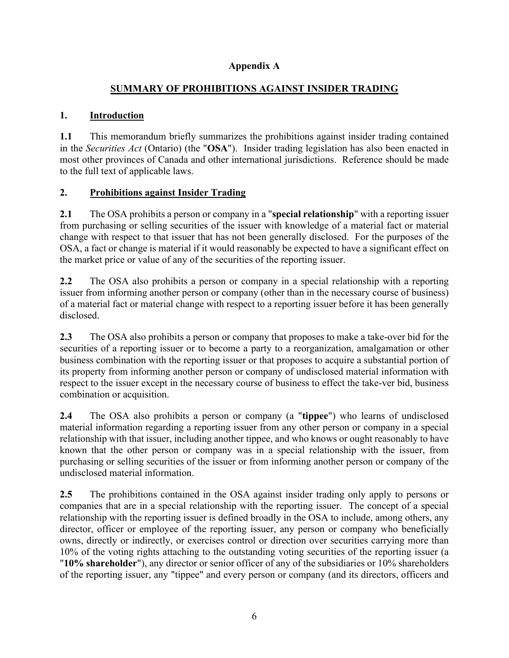## **Appendix A**

## **SUMMARY OF PROHIBITIONS AGAINST INSIDER TRADING**

## **1. Introduction**

**1.1** This memorandum briefly summarizes the prohibitions against insider trading contained in the *Securities Act* (Ontario) (the "**OSA**"). Insider trading legislation has also been enacted in most other provinces of Canada and other international jurisdictions. Reference should be made to the full text of applicable laws.

## **2. Prohibitions against Insider Trading**

**2.1** The OSA prohibits a person or company in a "**special relationship**" with a reporting issuer from purchasing or selling securities of the issuer with knowledge of a material fact or material change with respect to that issuer that has not been generally disclosed. For the purposes of the OSA, a fact or change is material if it would reasonably be expected to have a significant effect on the market price or value of any of the securities of the reporting issuer.

**2.2** The OSA also prohibits a person or company in a special relationship with a reporting issuer from informing another person or company (other than in the necessary course of business) of a material fact or material change with respect to a reporting issuer before it has been generally disclosed.

**2.3** The OSA also prohibits a person or company that proposes to make a take-over bid for the securities of a reporting issuer or to become a party to a reorganization, amalgamation or other business combination with the reporting issuer or that proposes to acquire a substantial portion of its property from informing another person or company of undisclosed material information with respect to the issuer except in the necessary course of business to effect the take-ver bid, business combination or acquisition.

**2.4** The OSA also prohibits a person or company (a "**tippee**") who learns of undisclosed material information regarding a reporting issuer from any other person or company in a special relationship with that issuer, including another tippee, and who knows or ought reasonably to have known that the other person or company was in a special relationship with the issuer, from purchasing or selling securities of the issuer or from informing another person or company of the undisclosed material information.

**2.5** The prohibitions contained in the OSA against insider trading only apply to persons or companies that are in a special relationship with the reporting issuer. The concept of a special relationship with the reporting issuer is defined broadly in the OSA to include, among others, any director, officer or employee of the reporting issuer, any person or company who beneficially owns, directly or indirectly, or exercises control or direction over securities carrying more than 10% of the voting rights attaching to the outstanding voting securities of the reporting issuer (a "**10% shareholder**"), any director or senior officer of any of the subsidiaries or 10% shareholders of the reporting issuer, any "tippee" and every person or company (and its directors, officers and